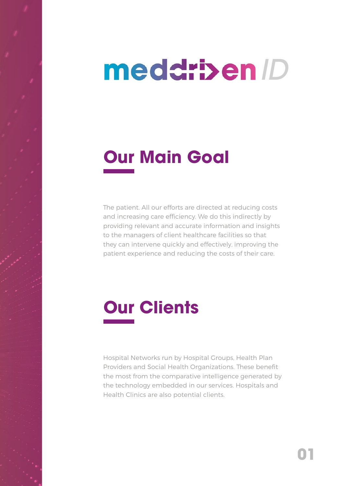# meddri>en /D

### **Our Main Goal**

The patient. All our efforts are directed at reducing costs and increasing care efficiency. We do this indirectly by providing relevant and accurate information and insights to the managers of client healthcare facilities so that they can intervene quickly and effectively, improving the patient experience and reducing the costs of their care.

# **Our Clients**

Hospital Networks run by Hospital Groups, Health Plan Providers and Social Health Organizations. These benefit the most from the comparative intelligence generated by the technology embedded in our services. Hospitals and Health Clinics are also potential clients.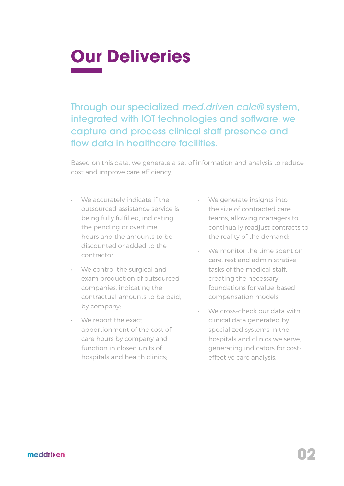# **Our Deliveries**

Through our specialized *med.driven calc®* system, integrated with IOT technologies and software, we capture and process clinical staff presence and flow data in healthcare facilities.

Based on this data, we generate a set of information and analysis to reduce cost and improve care efficiency.

- We accurately indicate if the outsourced assistance service is being fully fulfilled, indicating the pending or overtime hours and the amounts to be discounted or added to the contractor;
- We control the surgical and exam production of outsourced companies, indicating the contractual amounts to be paid, by company;
- We report the exact apportionment of the cost of care hours by company and function in closed units of hospitals and health clinics;
- We generate insights into the size of contracted care teams, allowing managers to continually readjust contracts to the reality of the demand;
- We monitor the time spent on care, rest and administrative tasks of the medical staff, creating the necessary foundations for value-based compensation models;
- We cross-check our data with clinical data generated by specialized systems in the hospitals and clinics we serve, generating indicators for costeffective care analysis.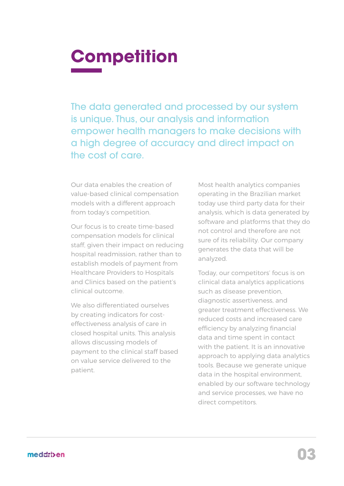## **Competition**

The data generated and processed by our system is unique. Thus, our analysis and information empower health managers to make decisions with a high degree of accuracy and direct impact on the cost of care.

Our data enables the creation of value-based clinical compensation models with a different approach from today's competition.

Our focus is to create time-based compensation models for clinical staff, given their impact on reducing hospital readmission, rather than to establish models of payment from Healthcare Providers to Hospitals and Clinics based on the patient's clinical outcome.

We also differentiated ourselves by creating indicators for costeffectiveness analysis of care in closed hospital units. This analysis allows discussing models of payment to the clinical staff based on value service delivered to the patient.

Most health analytics companies operating in the Brazilian market today use third party data for their analysis, which is data generated by software and platforms that they do not control and therefore are not sure of its reliability. Our company generates the data that will be analyzed.

Today, our competitors' focus is on clinical data analytics applications such as disease prevention, diagnostic assertiveness, and greater treatment effectiveness. We reduced costs and increased care efficiency by analyzing financial data and time spent in contact with the patient. It is an innovative approach to applying data analytics tools. Because we generate unique data in the hospital environment, enabled by our software technology and service processes, we have no direct competitors.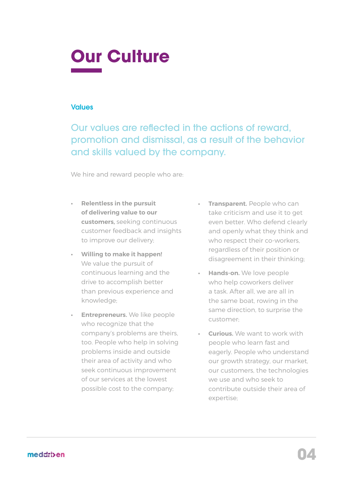

#### Values

Our values are reflected in the actions of reward, promotion and dismissal, as a result of the behavior and skills valued by the company.

We hire and reward people who are:

- **• Relentless in the pursuit of delivering value to our customers,** seeking continuous customer feedback and insights to improve our delivery;
- **• Willing to make it happen!**  We value the pursuit of continuous learning and the drive to accomplish better than previous experience and knowledge;
- **• Entrepreneurs.** We like people who recognize that the company's problems are theirs, too. People who help in solving problems inside and outside their area of activity and who seek continuous improvement of our services at the lowest possible cost to the company;
- **Fransparent.** People who can take criticism and use it to get even better. Who defend clearly and openly what they think and who respect their co-workers, regardless of their position or disagreement in their thinking;
- **• Hands-on.** We love people who help coworkers deliver a task. After all, we are all in the same boat, rowing in the same direction, to surprise the customer;
- **• Curious.** We want to work with people who learn fast and eagerly. People who understand our growth strategy, our market, our customers, the technologies we use and who seek to contribute outside their area of expertise;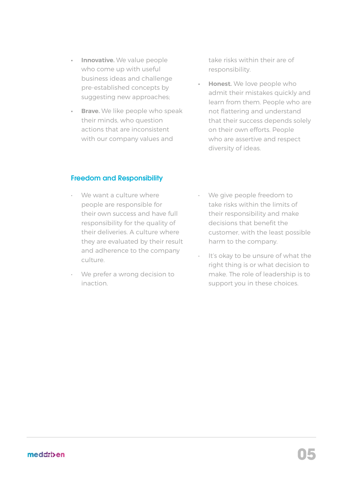- **• Innovative.** We value people who come up with useful business ideas and challenge pre-established concepts by suggesting new approaches;
- **• Brave.** We like people who speak their minds, who question actions that are inconsistent with our company values and

take risks within their are of responsibility.

**• Honest.** We love people who admit their mistakes quickly and learn from them. People who are not flattering and understand that their success depends solely on their own efforts. People who are assertive and respect diversity of ideas.

#### Freedom and Responsibility

- We want a culture where people are responsible for their own success and have full responsibility for the quality of their deliveries. A culture where they are evaluated by their result and adherence to the company culture.
- We prefer a wrong decision to inaction.
- We give people freedom to take risks within the limits of their responsibility and make decisions that benefit the customer, with the least possible harm to the company.
- It's okay to be unsure of what the right thing is or what decision to make. The role of leadership is to support you in these choices.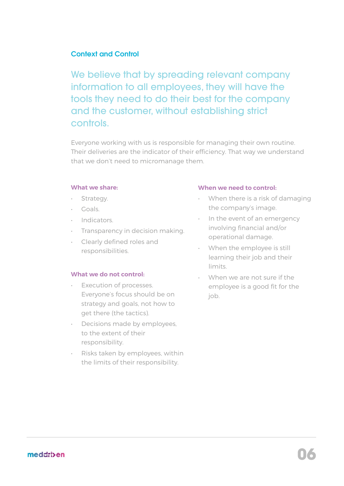#### Context and Control

We believe that by spreading relevant company information to all employees, they will have the tools they need to do their best for the company and the customer, without establishing strict controls.

Everyone working with us is responsible for managing their own routine. Their deliveries are the indicator of their efficiency. That way we understand that we don't need to micromanage them.

#### **What we share:**

- Strategy.
- Goals.
- Indicators.
- Transparency in decision making.
- Clearly defined roles and responsibilities.

#### **What we do not control:**

- Execution of processes. Everyone's focus should be on strategy and goals, not how to get there (the tactics).
- Decisions made by employees, to the extent of their responsibility.
- Risks taken by employees, within the limits of their responsibility.

#### **When we need to control:**

- When there is a risk of damaging the company's image.
- In the event of an emergency involving financial and/or operational damage.
- When the employee is still learning their job and their limits.
- When we are not sure if the employee is a good fit for the job.

#### meddriven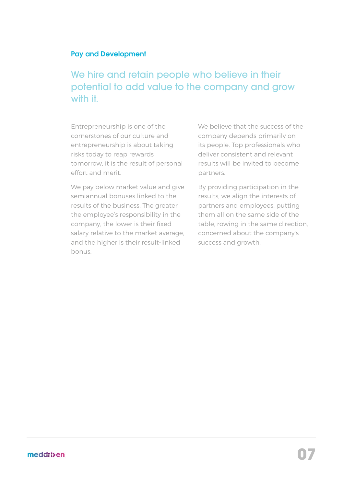#### Pay and Development

#### We hire and retain people who believe in their potential to add value to the company and grow with it.

Entrepreneurship is one of the cornerstones of our culture and entrepreneurship is about taking risks today to reap rewards tomorrow, it is the result of personal effort and merit.

We pay below market value and give semiannual bonuses linked to the results of the business. The greater the employee's responsibility in the company, the lower is their fixed salary relative to the market average, and the higher is their result-linked bonus.

We believe that the success of the company depends primarily on its people. Top professionals who deliver consistent and relevant results will be invited to become partners.

By providing participation in the results, we align the interests of partners and employees, putting them all on the same side of the table, rowing in the same direction, concerned about the company's success and growth.